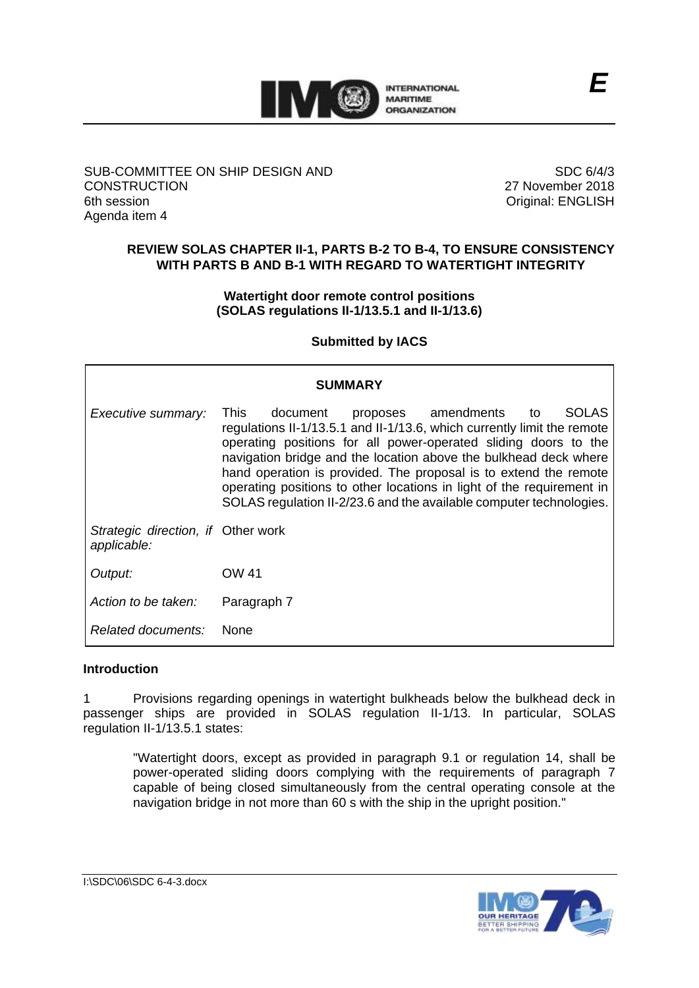

#### SUB-COMMITTEE ON SHIP DESIGN AND **CONSTRUCTION** 6th session Agenda item 4

SDC 6/4/3 27 November 2018 Original: ENGLISH

## **REVIEW SOLAS CHAPTER II-1, PARTS B-2 TO B-4, TO ENSURE CONSISTENCY WITH PARTS B AND B-1 WITH REGARD TO WATERTIGHT INTEGRITY**

**Watertight door remote control positions (SOLAS regulations II-1/13.5.1 and II-1/13.6)** 

**Submitted by IACS**

| <b>SUMMARY</b>                                    |                                                                                                                                                                                                                                                                                                                                                                                                                                                                                                      |
|---------------------------------------------------|------------------------------------------------------------------------------------------------------------------------------------------------------------------------------------------------------------------------------------------------------------------------------------------------------------------------------------------------------------------------------------------------------------------------------------------------------------------------------------------------------|
| Executive summary:                                | proposes amendments<br><b>SOLAS</b><br>This.<br>document<br>to<br>requlations II-1/13.5.1 and II-1/13.6, which currently limit the remote<br>operating positions for all power-operated sliding doors to the<br>navigation bridge and the location above the bulkhead deck where<br>hand operation is provided. The proposal is to extend the remote<br>operating positions to other locations in light of the requirement in<br>SOLAS regulation II-2/23.6 and the available computer technologies. |
| Strategic direction, if Other work<br>applicable: |                                                                                                                                                                                                                                                                                                                                                                                                                                                                                                      |
| Output:                                           | OW 41                                                                                                                                                                                                                                                                                                                                                                                                                                                                                                |
| Action to be taken:                               | Paragraph 7                                                                                                                                                                                                                                                                                                                                                                                                                                                                                          |
| Related documents:                                | <b>None</b>                                                                                                                                                                                                                                                                                                                                                                                                                                                                                          |

#### **Introduction**

1 Provisions regarding openings in watertight bulkheads below the bulkhead deck in passenger ships are provided in SOLAS regulation II-1/13. In particular, SOLAS regulation II-1/13.5.1 states:

"Watertight doors, except as provided in paragraph 9.1 or [regulation 14,](http://dmr.regs4ships.com/docs/international/imo/solas/chp_02_01/14.cfm) shall be power-operated sliding doors complying with the requirements of paragraph 7 capable of being closed simultaneously from the central operating console at the navigation bridge in not more than 60 s with the ship in the upright position."

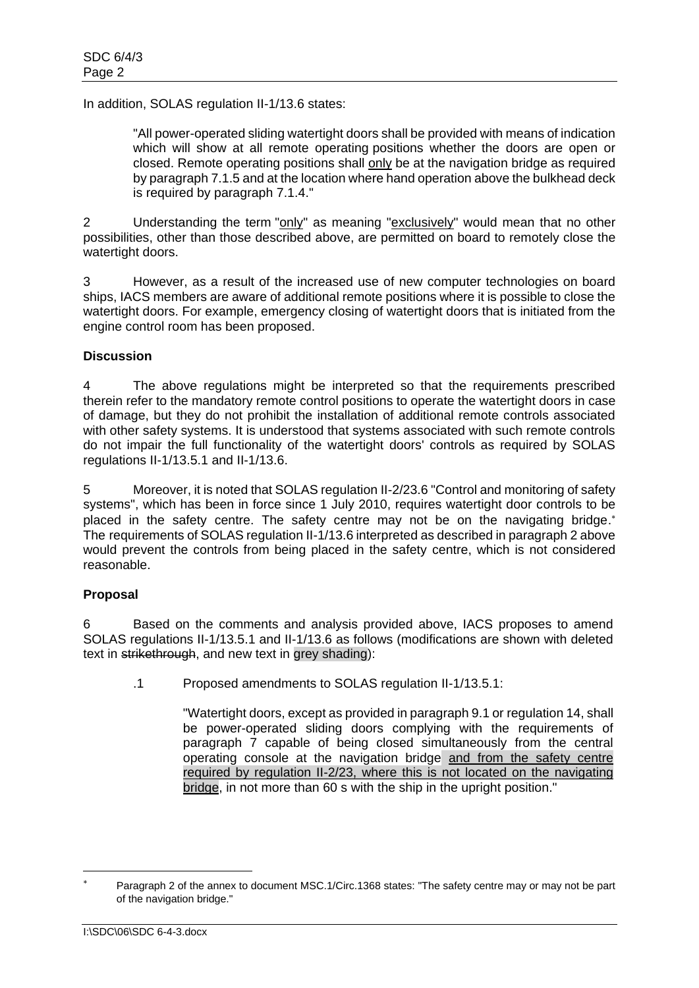In addition, SOLAS regulation II-1/13.6 states:

"All power-operated sliding watertight doors shall be provided with means of indication which will show at all remote operating positions whether the doors are open or closed. Remote operating positions shall only be at the navigation bridge as required by paragraph 7.1.5 and at the location where hand operation above the bulkhead deck is required by paragraph 7.1.4."

2 Understanding the term "only" as meaning "exclusively" would mean that no other possibilities, other than those described above, are permitted on board to remotely close the watertight doors.

3 However, as a result of the increased use of new computer technologies on board ships, IACS members are aware of additional remote positions where it is possible to close the watertight doors. For example, emergency closing of watertight doors that is initiated from the engine control room has been proposed.

## **Discussion**

4 The above regulations might be interpreted so that the requirements prescribed therein refer to the mandatory remote control positions to operate the watertight doors in case of damage, but they do not prohibit the installation of additional remote controls associated with other safety systems. It is understood that systems associated with such remote controls do not impair the full functionality of the watertight doors' controls as required by SOLAS regulations II-1/13.5.1 and II-1/13.6.

5 Moreover, it is noted that SOLAS regulation II-2/23.6 "Control and monitoring of safety systems", which has been in force since 1 July 2010, requires watertight door controls to be placed in the safety centre. The safety centre may not be on the navigating bridge.\* The requirements of SOLAS regulation II-1/13.6 interpreted as described in paragraph 2 above would prevent the controls from being placed in the safety centre, which is not considered reasonable.

## **Proposal**

6 Based on the comments and analysis provided above, IACS proposes to amend SOLAS regulations II-1/13.5.1 and II-1/13.6 as follows (modifications are shown with deleted text in strikethrough, and new text in grey shading):

.1 Proposed amendments to SOLAS regulation II-1/13.5.1:

"Watertight doors, except as provided in paragraph 9.1 o[r regulation 14,](http://dmr.regs4ships.com/docs/international/imo/solas/chp_02_01/14.cfm) shall be power-operated sliding doors complying with the requirements of paragraph 7 capable of being closed simultaneously from the central operating console at the navigation bridge and from the safety centre required by regulation II-2/23, where this is not located on the navigating bridge, in not more than 60 s with the ship in the upright position."

-

Paragraph 2 of the annex to document MSC.1/Circ.1368 states: "The safety centre may or may not be part of the navigation bridge."